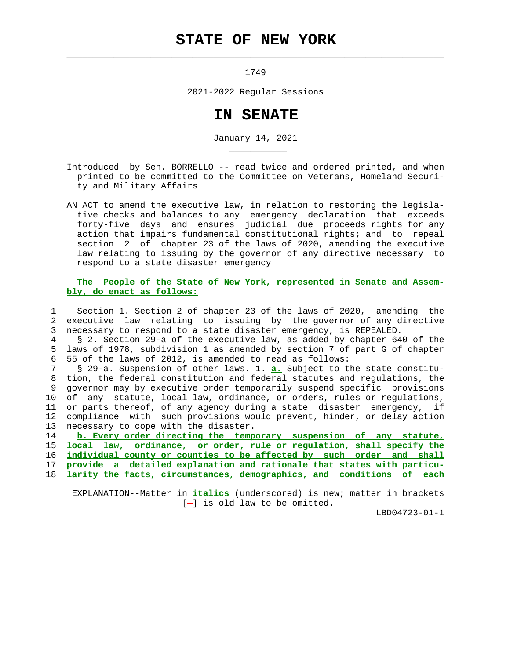## **STATE OF NEW YORK**

 $\mathcal{L}_\text{max} = \frac{1}{2} \sum_{i=1}^{n} \frac{1}{2} \sum_{i=1}^{n} \frac{1}{2} \sum_{i=1}^{n} \frac{1}{2} \sum_{i=1}^{n} \frac{1}{2} \sum_{i=1}^{n} \frac{1}{2} \sum_{i=1}^{n} \frac{1}{2} \sum_{i=1}^{n} \frac{1}{2} \sum_{i=1}^{n} \frac{1}{2} \sum_{i=1}^{n} \frac{1}{2} \sum_{i=1}^{n} \frac{1}{2} \sum_{i=1}^{n} \frac{1}{2} \sum_{i=1}^{n} \frac{1$ 

\_\_\_\_\_\_\_\_\_\_\_

1749

2021-2022 Regular Sessions

## **IN SENATE**

January 14, 2021

 Introduced by Sen. BORRELLO -- read twice and ordered printed, and when printed to be committed to the Committee on Veterans, Homeland Securi ty and Military Affairs

 AN ACT to amend the executive law, in relation to restoring the legisla tive checks and balances to any emergency declaration that exceeds forty-five days and ensures judicial due proceeds rights for any action that impairs fundamental constitutional rights; and to repeal section 2 of chapter 23 of the laws of 2020, amending the executive law relating to issuing by the governor of any directive necessary to respond to a state disaster emergency

## **The People of the State of New York, represented in Senate and Assem bly, do enact as follows:**

 1 Section 1. Section 2 of chapter 23 of the laws of 2020, amending the 2 executive law relating to issuing by the governor of any directive 3 necessary to respond to a state disaster emergency, is REPEALED.

 4 § 2. Section 29-a of the executive law, as added by chapter 640 of the 5 laws of 1978, subdivision 1 as amended by section 7 of part G of chapter 6 55 of the laws of 2012, is amended to read as follows:

 7 § 29-a. Suspension of other laws. 1. **a.** Subject to the state constitu- 8 tion, the federal constitution and federal statutes and regulations, the 9 governor may by executive order temporarily suspend specific provisions 10 of any statute, local law, ordinance, or orders, rules or regulations, 11 or parts thereof, of any agency during a state disaster emergency, if 12 compliance with such provisions would prevent, hinder, or delay action 13 necessary to cope with the disaster.

14 **b. Every order directing the temporary suspension of any statute,**

15 **local law, ordinance, or order, rule or regulation, shall specify the**

16 **individual county or counties to be affected by such order and shall**

17 **provide a detailed explanation and rationale that states with particu-**

18 **larity the facts, circumstances, demographics, and conditions of each**

 EXPLANATION--Matter in **italics** (underscored) is new; matter in brackets  $[-]$  is old law to be omitted.

LBD04723-01-1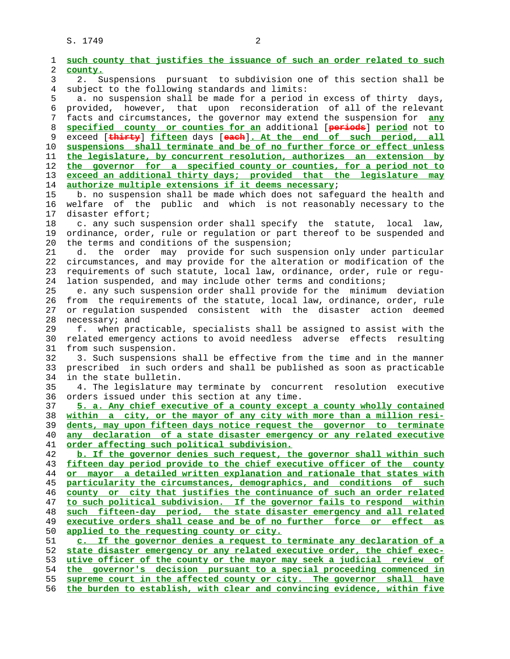S. 1749 2

| such county that justifies the issuance of such an order related to such<br>county.                                                            |
|------------------------------------------------------------------------------------------------------------------------------------------------|
| 2.<br>Suspensions pursuant to subdivision one of this section shall be                                                                         |
| subject to the following standards and limits:                                                                                                 |
| a. no suspension shall be made for a period in excess of thirty days,                                                                          |
| provided, however, that upon reconsideration of all of the relevant                                                                            |
| facts and circumstances, the governor may extend the suspension for <b>any</b>                                                                 |
| specified county or counties for an additional [periods] period not to                                                                         |
| exceed [thirty] fifteen days [each]. At the end of such period, all                                                                            |
| suspensions shall terminate and be of no further force or effect unless                                                                        |
| the legislature, by concurrent resolution, authorizes an extension by                                                                          |
| the governor for a specified county or counties, for a period not to                                                                           |
| exceed an additional thirty days; provided that the legislature may                                                                            |
| authorize multiple extensions if it deems necessary;                                                                                           |
| b. no suspension shall be made which does not safeguard the health and                                                                         |
| welfare of the public and which is not reasonably necessary to the                                                                             |
| disaster effort;                                                                                                                               |
| c. any such suspension order shall specify the statute, local law,                                                                             |
| ordinance, order, rule or regulation or part thereof to be suspended and                                                                       |
| the terms and conditions of the suspension;                                                                                                    |
| d. the order may provide for such suspension only under particular                                                                             |
| circumstances, and may provide for the alteration or modification of the                                                                       |
| requirements of such statute, local law, ordinance, order, rule or regu-                                                                       |
| lation suspended, and may include other terms and conditions;                                                                                  |
| e. any such suspension order shall provide for the minimum deviation                                                                           |
| from the requirements of the statute, local law, ordinance, order, rule                                                                        |
| or regulation suspended consistent with the disaster action deemed                                                                             |
| necessary; and                                                                                                                                 |
| f. when practicable, specialists shall be assigned to assist with the<br>related emergency actions to avoid needless adverse effects resulting |
| from such suspension.                                                                                                                          |
| 3. Such suspensions shall be effective from the time and in the manner                                                                         |
| prescribed in such orders and shall be published as soon as practicable                                                                        |
| in the state bulletin.                                                                                                                         |
| 4. The legislature may terminate by concurrent<br>resolution executive                                                                         |
| orders issued under this section at any time.                                                                                                  |
| 5. a. Any chief executive of a county except a county wholly contained                                                                         |
| within a city, or the mayor of any city with more than a million resi-                                                                         |
| dents, may upon fifteen days notice request the governor to terminate                                                                          |
| declaration of a state disaster emergency or any related executive<br>any                                                                      |
| order affecting such political subdivision.                                                                                                    |
| b. If the governor denies such request, the governor shall within such                                                                         |
| fifteen day period provide to the chief executive officer of the county                                                                        |
| or mayor a detailed written explanation and rationale that states with                                                                         |
| particularity the circumstances, demographics, and conditions of such                                                                          |
| county or city that justifies the continuance of such an order related                                                                         |
| to such political subdivision. If the governor fails to respond within                                                                         |
| such fifteen-day period, the state disaster emergency and all related                                                                          |
| executive orders shall cease and be of no further force or effect as                                                                           |
| applied to the requesting county or city.                                                                                                      |
| c. If the governor denies a request to terminate any declaration of a                                                                          |
| state disaster emergency or any related executive order, the chief exec-                                                                       |
| utive officer of the county or the mayor may seek a judicial review of                                                                         |
|                                                                                                                                                |
| the governor's decision pursuant to a special proceeding commenced in                                                                          |
| supreme court in the affected county or city. The governor shall have                                                                          |
| the burden to establish, with clear and convincing evidence, within five                                                                       |